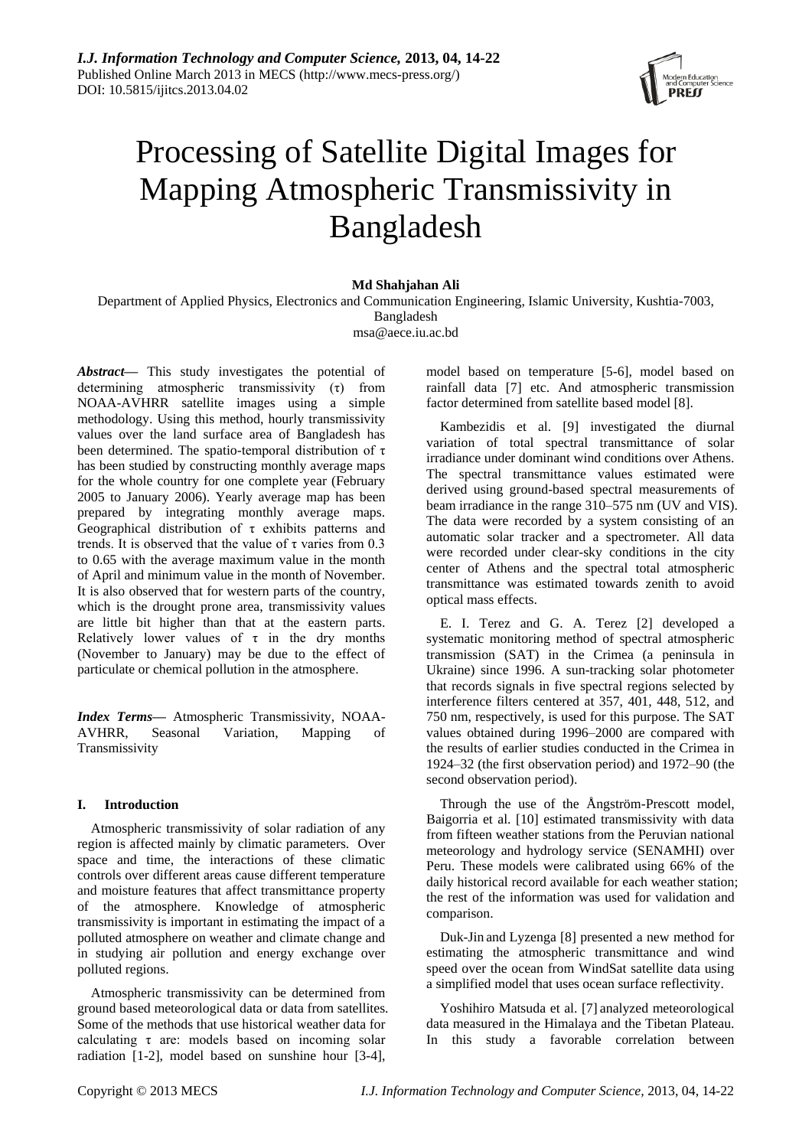

# Processing of Satellite Digital Images for Mapping Atmospheric Transmissivity in Bangladesh

# **Md Shahjahan Ali**

Department of Applied Physics, Electronics and Communication Engineering, Islamic University, Kushtia-7003, Bangladesh msa@aece.iu.ac.bd

*Abstract***—** This study investigates the potential of determining atmospheric transmissivity (τ) from NOAA-AVHRR satellite images using a simple methodology. Using this method, hourly transmissivity values over the land surface area of Bangladesh has been determined. The spatio-temporal distribution of τ has been studied by constructing monthly average maps for the whole country for one complete year (February 2005 to January 2006). Yearly average map has been prepared by integrating monthly average maps. Geographical distribution of τ exhibits patterns and trends. It is observed that the value of  $\tau$  varies from 0.3 to 0.65 with the average maximum value in the month of April and minimum value in the month of November. It is also observed that for western parts of the country, which is the drought prone area, transmissivity values are little bit higher than that at the eastern parts. Relatively lower values of  $\tau$  in the dry months (November to January) may be due to the effect of particulate or chemical pollution in the atmosphere.

*Index Terms***—** Atmospheric Transmissivity, NOAA-AVHRR, Seasonal Variation, Mapping of Transmissivity

# **I. Introduction**

Atmospheric transmissivity of solar radiation of any region is affected mainly by climatic parameters. Over space and time, the interactions of these climatic controls over different areas cause different temperature and moisture features that affect transmittance property of the atmosphere. Knowledge of atmospheric transmissivity is important in estimating the impact of a polluted atmosphere on weather and climate change and in studying air pollution and energy exchange over polluted regions.

Atmospheric transmissivity can be determined from ground based meteorological data or data from satellites. Some of the methods that use historical weather data for calculating  $\tau$  are: models based on incoming solar radiation [1-2], model based on sunshine hour [3-4],

model based on temperature [5-6], model based on rainfall data [7] etc. And atmospheric transmission factor determined from satellite based model [8].

Kambezidis et al. [9] investigated the diurnal variation of total spectral transmittance of solar irradiance under dominant wind conditions over Athens. The spectral transmittance values estimated were derived using ground-based spectral measurements of beam irradiance in the range 310–575 nm (UV and VIS). The data were recorded by a system consisting of an automatic solar tracker and a spectrometer. All data were recorded under clear-sky conditions in the city center of Athens and the spectral total atmospheric transmittance was estimated towards zenith to avoid optical mass effects.

E. I. Terez and G. A. Terez [2] developed a systematic monitoring method of spectral atmospheric transmission (SAT) in the Crimea (a peninsula in Ukraine) since 1996. A sun-tracking solar photometer that records signals in five spectral regions selected by interference filters centered at 357, 401, 448, 512, and 750 nm, respectively, is used for this purpose. The SAT values obtained during 1996–2000 are compared with the results of earlier studies conducted in the Crimea in 1924–32 (the first observation period) and 1972–90 (the second observation period).

Through the use of the Ångström-Prescott model, Baigorria et al. [10] estimated transmissivity with data from fifteen weather stations from the Peruvian national meteorology and hydrology service (SENAMHI) over Peru. These models were calibrated using 66% of the daily historical record available for each weather station; the rest of the information was used for validation and comparison.

Duk-Jin and Lyzenga [8] presented a new method for estimating the atmospheric transmittance and wind speed over the ocean from WindSat satellite data using a simplified model that uses ocean surface reflectivity.

Yoshihiro Matsuda et al. [7] analyzed meteorological data measured in the Himalaya and the Tibetan Plateau. In this study a favorable correlation between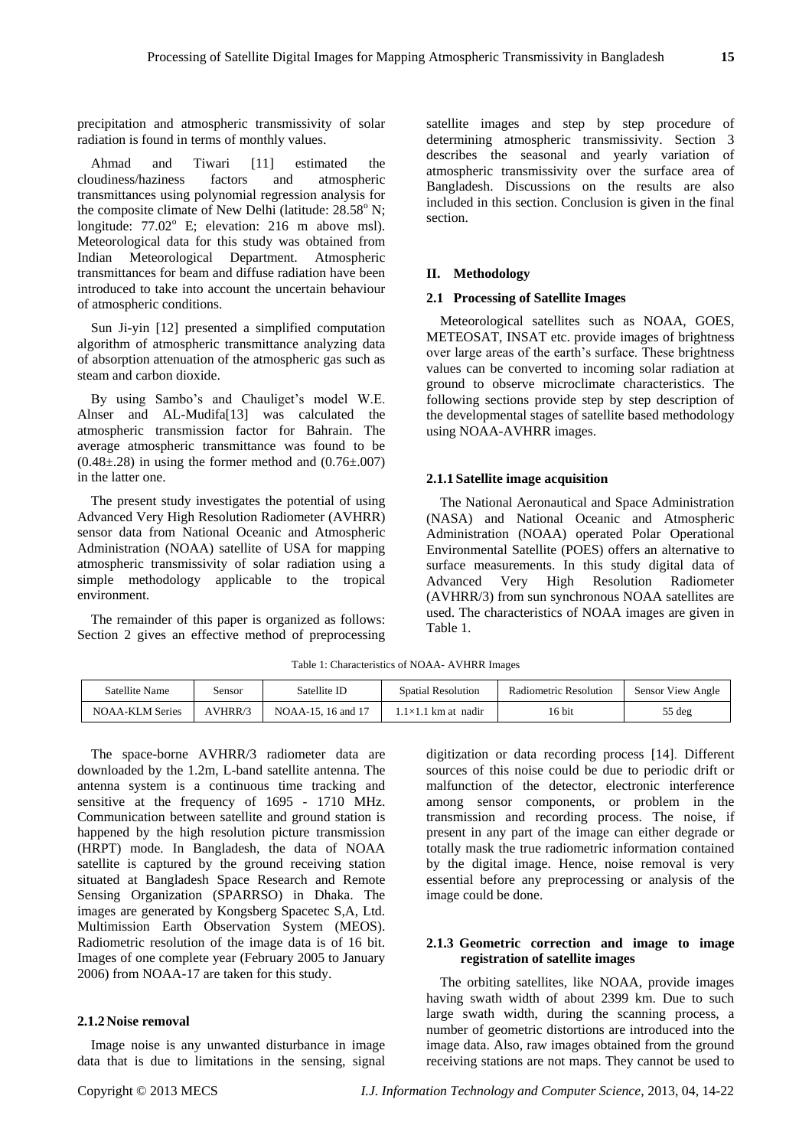precipitation and atmospheric transmissivity of solar radiation is found in terms of monthly values.

Ahmad and Tiwari [11] estimated the cloudiness/haziness factors and atmospheric transmittances using polynomial regression analysis for the composite climate of New Delhi (latitude:  $28.58^{\circ}$  N; longitude:  $77.02^{\circ}$  E; elevation: 216 m above msl). Meteorological data for this study was obtained from Indian Meteorological Department. Atmospheric transmittances for beam and diffuse radiation have been introduced to take into account the uncertain behaviour of atmospheric conditions.

Sun Ji-yin [12] presented a simplified computation algorithm of atmospheric transmittance analyzing data of absorption attenuation of the atmospheric gas such as steam and carbon dioxide.

By using Sambo's and Chauliget's model W.E. Alnser and AL-Mudifa[13] was calculated the atmospheric transmission factor for Bahrain. The average atmospheric transmittance was found to be  $(0.48\pm28)$  in using the former method and  $(0.76\pm007)$ in the latter one.

The present study investigates the potential of using Advanced Very High Resolution Radiometer (AVHRR) sensor data from National Oceanic and Atmospheric Administration (NOAA) satellite of USA for mapping atmospheric transmissivity of solar radiation using a simple methodology applicable to the tropical environment.

The remainder of this paper is organized as follows: Section 2 gives an effective method of preprocessing satellite images and step by step procedure of determining atmospheric transmissivity. Section 3 describes the seasonal and yearly variation of atmospheric transmissivity over the surface area of Bangladesh. Discussions on the results are also included in this section. Conclusion is given in the final section.

# **II. Methodology**

#### **2.1 Processing of Satellite Images**

Meteorological satellites such as NOAA, GOES, METEOSAT, INSAT etc. provide images of brightness over large areas of the earth's surface. These brightness values can be converted to incoming solar radiation at ground to observe microclimate characteristics. The following sections provide step by step description of the developmental stages of satellite based methodology using NOAA-AVHRR images.

#### **2.1.1 Satellite image acquisition**

The National Aeronautical and Space Administration (NASA) and National Oceanic and Atmospheric Administration (NOAA) operated Polar Operational Environmental Satellite (POES) offers an alternative to surface measurements. In this study digital data of Advanced Very High Resolution Radiometer (AVHRR/3) from sun synchronous NOAA satellites are used. The characteristics of NOAA images are given in Table 1.

Table 1: Characteristics of NOAA- AVHRR Images

| Satellite Name         | sensor         | Satellite ID       | <b>Spatial Resolution</b>   | Radiometric Resolution | <b>Sensor View Angle</b> |
|------------------------|----------------|--------------------|-----------------------------|------------------------|--------------------------|
| <b>NOAA-KLM Series</b> | <b>AVHRR/?</b> | NOAA-15, 16 and 17 | $.1 \times 1.1$ km at nadir | 16 bit                 | $55$ deg                 |

The space-borne AVHRR/3 radiometer data are downloaded by the 1.2m, L-band satellite antenna. The antenna system is a continuous time tracking and sensitive at the frequency of 1695 - 1710 MHz. Communication between satellite and ground station is happened by the high resolution picture transmission (HRPT) mode. In Bangladesh, the data of NOAA satellite is captured by the ground receiving station situated at Bangladesh Space Research and Remote Sensing Organization (SPARRSO) in Dhaka. The images are generated by Kongsberg Spacetec S,A, Ltd. Multimission Earth Observation System (MEOS). Radiometric resolution of the image data is of 16 bit. Images of one complete year (February 2005 to January 2006) from NOAA-17 are taken for this study.

## **2.1.2 Noise removal**

Image noise is any unwanted disturbance in image data that is due to limitations in the sensing, signal digitization or data recording process [14]. Different sources of this noise could be due to periodic drift or malfunction of the detector, electronic interference among sensor components, or problem in the transmission and recording process. The noise, if present in any part of the image can either degrade or totally mask the true radiometric information contained by the digital image. Hence, noise removal is very essential before any preprocessing or analysis of the image could be done.

## **2.1.3 Geometric correction and image to image registration of satellite images**

The orbiting satellites, like NOAA, provide images having swath width of about 2399 km. Due to such large swath width, during the scanning process, a number of geometric distortions are introduced into the image data. Also, raw images obtained from the ground receiving stations are not maps. They cannot be used to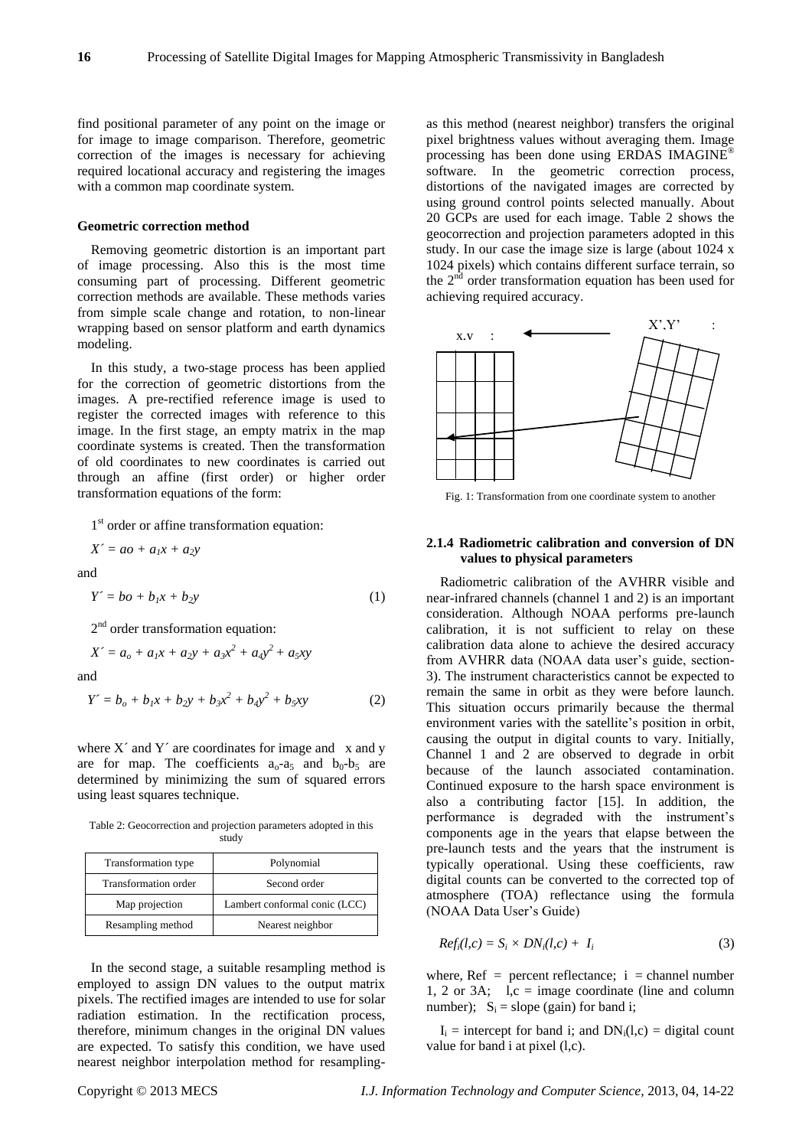find positional parameter of any point on the image or for image to image comparison. Therefore, geometric correction of the images is necessary for achieving required locational accuracy and registering the images with a common map coordinate system.

#### **Geometric correction method**

Removing geometric distortion is an important part of image processing. Also this is the most time consuming part of processing. Different geometric correction methods are available. These methods varies from simple scale change and rotation, to non-linear wrapping based on sensor platform and earth dynamics modeling.

In this study, a two-stage process has been applied for the correction of geometric distortions from the images. A pre-rectified reference image is used to register the corrected images with reference to this image. In the first stage, an empty matrix in the map coordinate systems is created. Then the transformation of old coordinates to new coordinates is carried out through an affine (first order) or higher order transformation equations of the form:

1<sup>st</sup> order or affine transformation equation:

$$
X' = ao + a_1x + a_2y
$$

and

$$
Y \doteq bo + b_1 x + b_2 y \tag{1}
$$

2<sup>nd</sup> order transformation equation:

$$
X' = a_o + a_1x + a_2y + a_3x^2 + a_4y^2 + a_5xy
$$
  
and

$$
Y = b_o + b_1 x + b_2 y + b_3 x^2 + b_4 y^2 + b_5 xy \tag{2}
$$

where  $X'$  and  $Y'$  are coordinates for image and  $x$  and  $y$ are for map. The coefficients  $a_0-a_5$  and  $b_0-b_5$  are determined by minimizing the sum of squared errors using least squares technique.

Table 2: Geocorrection and projection parameters adopted in this study

| Transformation type  | Polynomial                    |  |
|----------------------|-------------------------------|--|
| Transformation order | Second order                  |  |
| Map projection       | Lambert conformal conic (LCC) |  |
| Resampling method    | Nearest neighbor              |  |

In the second stage, a suitable resampling method is employed to assign DN values to the output matrix pixels. The rectified images are intended to use for solar radiation estimation. In the rectification process, therefore, minimum changes in the original DN values are expected. To satisfy this condition, we have used nearest neighbor interpolation method for resamplingas this method (nearest neighbor) transfers the original pixel brightness values without averaging them. Image processing has been done using ERDAS IMAGINE® software. In the geometric correction process, distortions of the navigated images are corrected by using ground control points selected manually. About 20 GCPs are used for each image. Table 2 shows the geocorrection and projection parameters adopted in this study. In our case the image size is large (about 1024 x 1024 pixels) which contains different surface terrain, so the  $2<sup>nd</sup>$  order transformation equation has been used for achieving required accuracy.



Fig. 1: Transformation from one coordinate system to another

## **2.1.4 Radiometric calibration and conversion of DN values to physical parameters**

Radiometric calibration of the AVHRR visible and near-infrared channels (channel 1 and 2) is an important consideration. Although NOAA performs pre-launch calibration, it is not sufficient to relay on these calibration data alone to achieve the desired accuracy from AVHRR data (NOAA data user's guide, section-3). The instrument characteristics cannot be expected to remain the same in orbit as they were before launch. This situation occurs primarily because the thermal environment varies with the satellite's position in orbit, causing the output in digital counts to vary. Initially, Channel 1 and 2 are observed to degrade in orbit because of the launch associated contamination. Continued exposure to the harsh space environment is also a contributing factor [15]. In addition, the performance is degraded with the instrument's components age in the years that elapse between the pre-launch tests and the years that the instrument is typically operational. Using these coefficients, raw digital counts can be converted to the corrected top of atmosphere (TOA) reflectance using the formula (NOAA Data User's Guide)

$$
Ref_i(l, c) = S_i \times DN_i(l, c) + I_i \tag{3}
$$

where,  $Ref = percent$  reflectance;  $i = channel$  number 1, 2 or 3A;  $l,c = image coordinate (line and column)$ number);  $S_i$  = slope (gain) for band i;

 $I_i$  = intercept for band i; and  $DN_i(1,c)$  = digital count value for band i at pixel (l,c).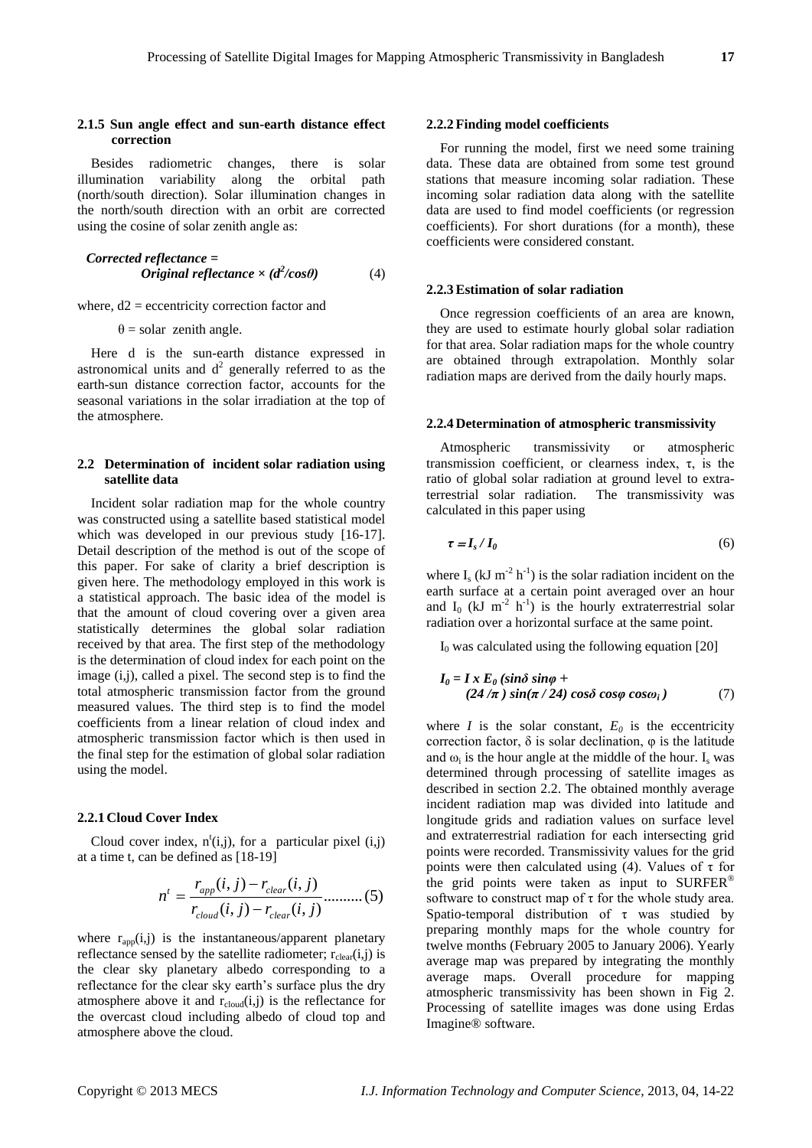### **2.1.5 Sun angle effect and sun-earth distance effect correction**

Besides radiometric changes, there is solar illumination variability along the orbital path (north/south direction). Solar illumination changes in the north/south direction with an orbit are corrected using the cosine of solar zenith angle as:

$$
Corrected \, reference =
$$
\n
$$
Original \, reflection \, c \times (d^2 / cos \theta) \tag{4}
$$

where,  $d2$  = eccentricity correction factor and

 $\theta$  = solar zenith angle.

Here d is the sun-earth distance expressed in astronomical units and  $d^2$  generally referred to as the earth-sun distance correction factor, accounts for the seasonal variations in the solar irradiation at the top of the atmosphere.

## **2.2 Determination of incident solar radiation using satellite data**

Incident solar radiation map for the whole country was constructed using a satellite based statistical model which was developed in our previous study [16-17]. Detail description of the method is out of the scope of this paper. For sake of clarity a brief description is given here. The methodology employed in this work is a statistical approach. The basic idea of the model is that the amount of cloud covering over a given area statistically determines the global solar radiation received by that area. The first step of the methodology is the determination of cloud index for each point on the image (i,j), called a pixel. The second step is to find the total atmospheric transmission factor from the ground measured values. The third step is to find the model coefficients from a linear relation of cloud index and atmospheric transmission factor which is then used in the final step for the estimation of global solar radiation using the model.

## **2.2.1 Cloud Cover Index**

Cloud cover index,  $n^t(i,j)$ , for a particular pixel  $(i,j)$ at a time t, can be defined as [18-19]

$$
n^{t} = \frac{r_{app}(i, j) - r_{clear}(i, j)}{r_{cloud}(i, j) - r_{clear}(i, j)} \dots \dots \dots (5)
$$

where  $r_{app}(i,j)$  is the instantaneous/apparent planetary reflectance sensed by the satellite radiometer;  $r_{clear}(i,j)$  is the clear sky planetary albedo corresponding to a reflectance for the clear sky earth's surface plus the dry atmosphere above it and  $r_{cloud}(i,j)$  is the reflectance for the overcast cloud including albedo of cloud top and atmosphere above the cloud.

#### **2.2.2 Finding model coefficients**

For running the model, first we need some training data. These data are obtained from some test ground stations that measure incoming solar radiation. These incoming solar radiation data along with the satellite data are used to find model coefficients (or regression coefficients). For short durations (for a month), these coefficients were considered constant.

## **2.2.3Estimation of solar radiation**

Once regression coefficients of an area are known, they are used to estimate hourly global solar radiation for that area. Solar radiation maps for the whole country are obtained through extrapolation. Monthly solar radiation maps are derived from the daily hourly maps.

## **2.2.4 Determination of atmospheric transmissivity**

Atmospheric transmissivity or atmospheric transmission coefficient, or clearness index,  $\tau$ , is the ratio of [global solar radiation at ground level](file:///F:/TH/New%20Folder%20(2)/Estimating_solar_radiation_at_ground_level.html) to [extra](file:///F:/TH/New%20Folder%20(2)/Calculating_extra-terrestrial_solar_radiation.html)[terrestrial solar radiation.](file:///F:/TH/New%20Folder%20(2)/Calculating_extra-terrestrial_solar_radiation.html) The transmissivity was calculated in this paper using

$$
\tau = I_s / I_0 \tag{6}
$$

where  $I_s$  (kJ m<sup>-2</sup> h<sup>-1</sup>) is the solar radiation incident on the earth surface at a certain point averaged over an hour and  $I_0$  (kJ m<sup>-2</sup> h<sup>-1</sup>) is the hourly extraterrestrial solar radiation over a horizontal surface at the same point.

 $I_0$  was calculated using the following equation [20]

$$
I_0 = I x E_0 (\sin \delta \sin \varphi +
$$
  
(24/π) sin(π/24) cosδ cosφ cosω<sub>i</sub>) (7)

where *I* is the solar constant,  $E_0$  is the eccentricity correction factor,  $\delta$  is solar declination,  $\varphi$  is the latitude and  $\omega_i$  is the hour angle at the middle of the hour. I<sub>s</sub> was determined through processing of satellite images as described in section 2.2. The obtained monthly average incident radiation map was divided into latitude and longitude grids and radiation values on surface level and extraterrestrial radiation for each intersecting grid points were recorded. Transmissivity values for the grid points were then calculated using (4). Values of  $\tau$  for the grid points were taken as input to  $\text{SURFER}^{\circledast}$ software to construct map of  $\tau$  for the whole study area. Spatio-temporal distribution of  $\tau$  was studied by preparing monthly maps for the whole country for twelve months (February 2005 to January 2006). Yearly average map was prepared by integrating the monthly average maps. Overall procedure for mapping atmospheric transmissivity has been shown in Fig 2. Processing of satellite images was done using Erdas Imagine® software.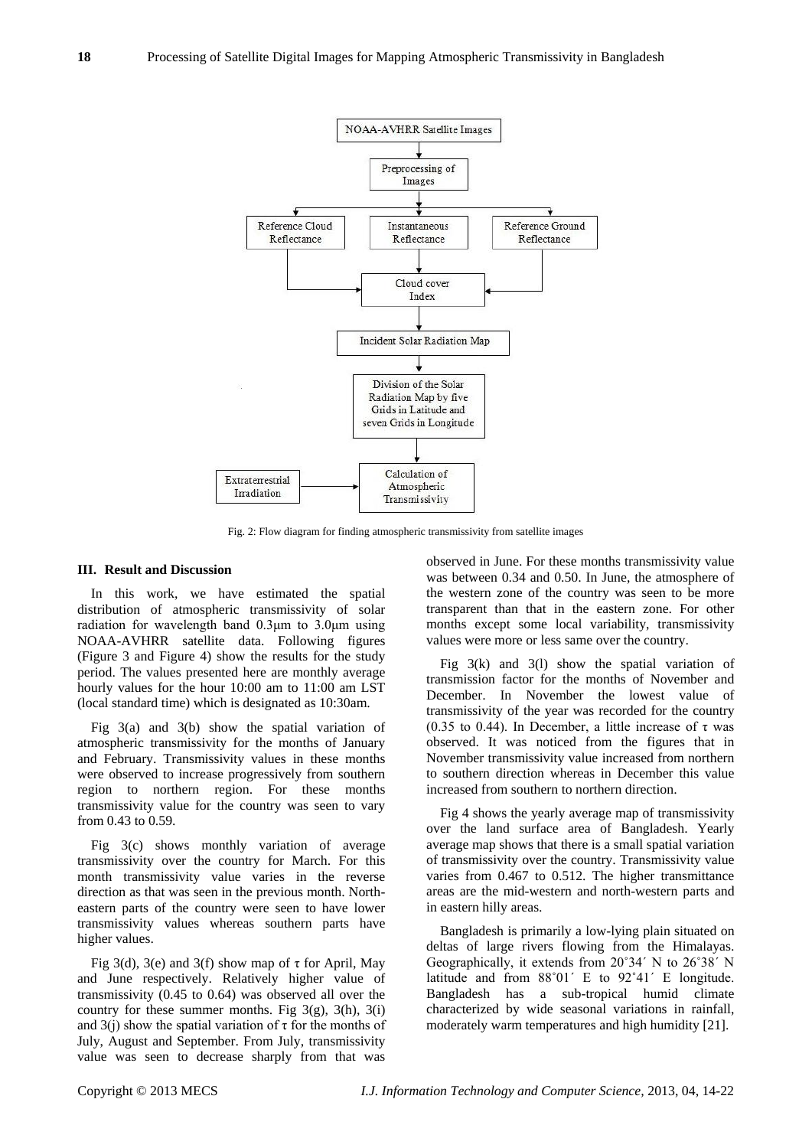

Fig. 2: Flow diagram for finding atmospheric transmissivity from satellite images

#### **III. Result and Discussion**

In this work, we have estimated the spatial distribution of atmospheric transmissivity of solar radiation for wavelength band 0.3μm to 3.0μm using NOAA-AVHRR satellite data. Following figures (Figure 3 and Figure 4) show the results for the study period. The values presented here are monthly average hourly values for the hour 10:00 am to 11:00 am LST (local standard time) which is designated as 10:30am.

Fig 3(a) and 3(b) show the spatial variation of atmospheric transmissivity for the months of January and February. Transmissivity values in these months were observed to increase progressively from southern region to northern region. For these months transmissivity value for the country was seen to vary from 0.43 to 0.59.

Fig 3(c) shows monthly variation of average transmissivity over the country for March. For this month transmissivity value varies in the reverse direction as that was seen in the previous month. Northeastern parts of the country were seen to have lower transmissivity values whereas southern parts have higher values.

Fig 3(d), 3(e) and 3(f) show map of  $\tau$  for April, May and June respectively. Relatively higher value of transmissivity (0.45 to 0.64) was observed all over the country for these summer months. Fig  $3(g)$ ,  $3(h)$ ,  $3(i)$ and 3(j) show the spatial variation of  $\tau$  for the months of July, August and September. From July, transmissivity value was seen to decrease sharply from that was

observed in June. For these months transmissivity value was between 0.34 and 0.50. In June, the atmosphere of the western zone of the country was seen to be more transparent than that in the eastern zone. For other months except some local variability, transmissivity values were more or less same over the country.

Fig 3(k) and 3(l) show the spatial variation of transmission factor for the months of November and December. In November the lowest value of transmissivity of the year was recorded for the country (0.35 to 0.44). In December, a little increase of  $\tau$  was observed. It was noticed from the figures that in November transmissivity value increased from northern to southern direction whereas in December this value increased from southern to northern direction.

Fig 4 shows the yearly average map of transmissivity over the land surface area of Bangladesh. Yearly average map shows that there is a small spatial variation of transmissivity over the country. Transmissivity value varies from 0.467 to 0.512. The higher transmittance areas are the mid-western and north-western parts and in eastern hilly areas.

Bangladesh is primarily a low-lying plain situated on deltas of large rivers flowing from the Himalayas. Geographically, it extends from 20˚34´ N to 26˚38´ N latitude and from 88˚01´ E to 92˚41´ E longitude. Bangladesh has a sub-tropical humid climate characterized by wide seasonal variations in rainfall, moderately warm temperatures and high humidity [21].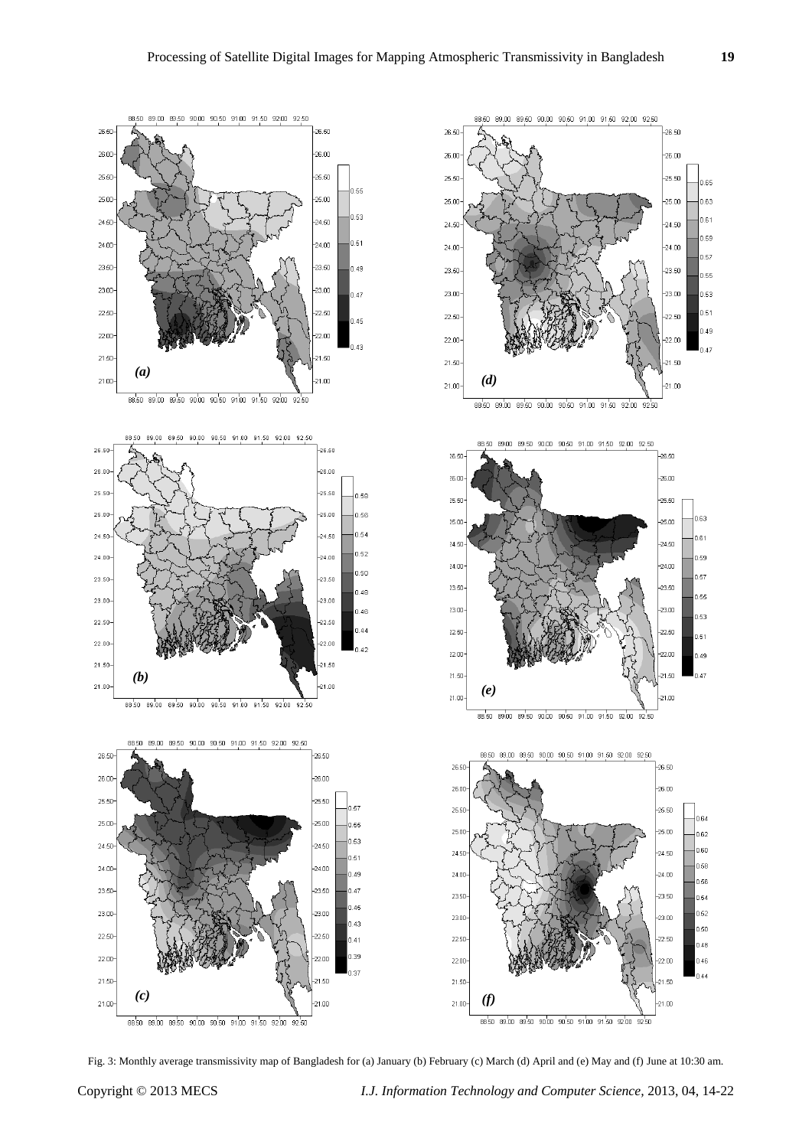

Fig. 3: Monthly average transmissivity map of Bangladesh for (a) January (b) February (c) March (d) April and (e) May and (f) June at 10:30 am.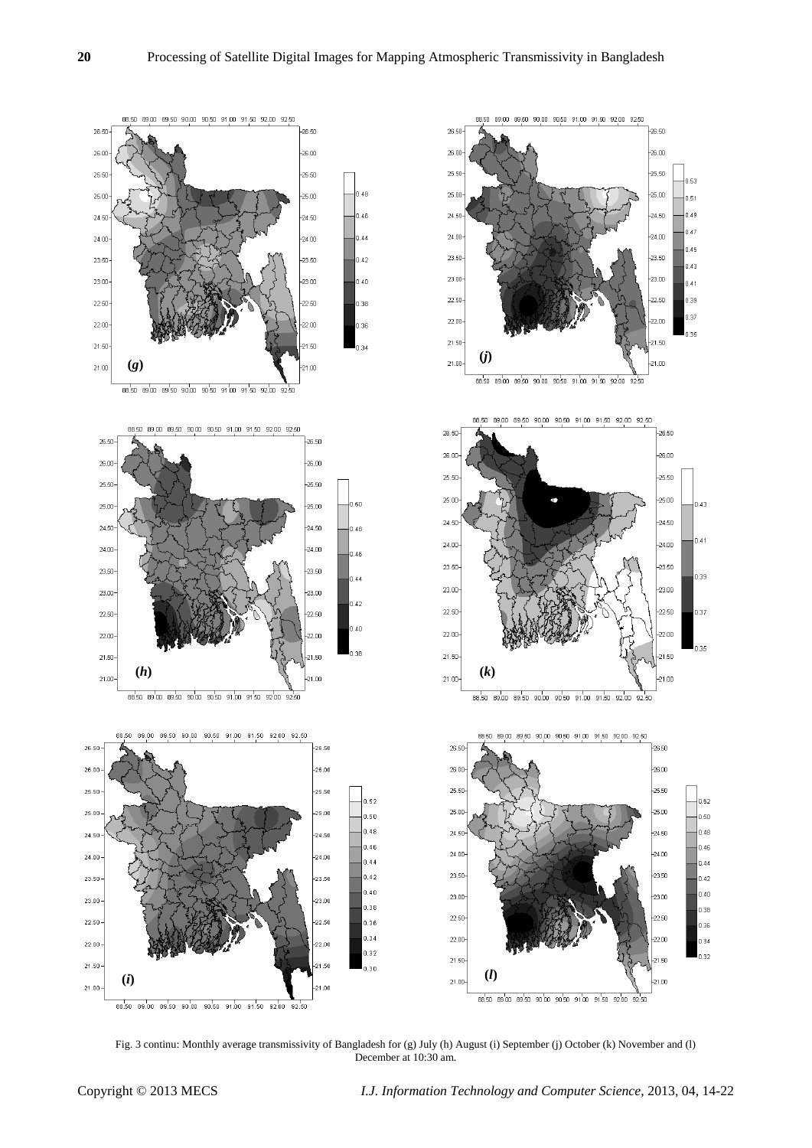

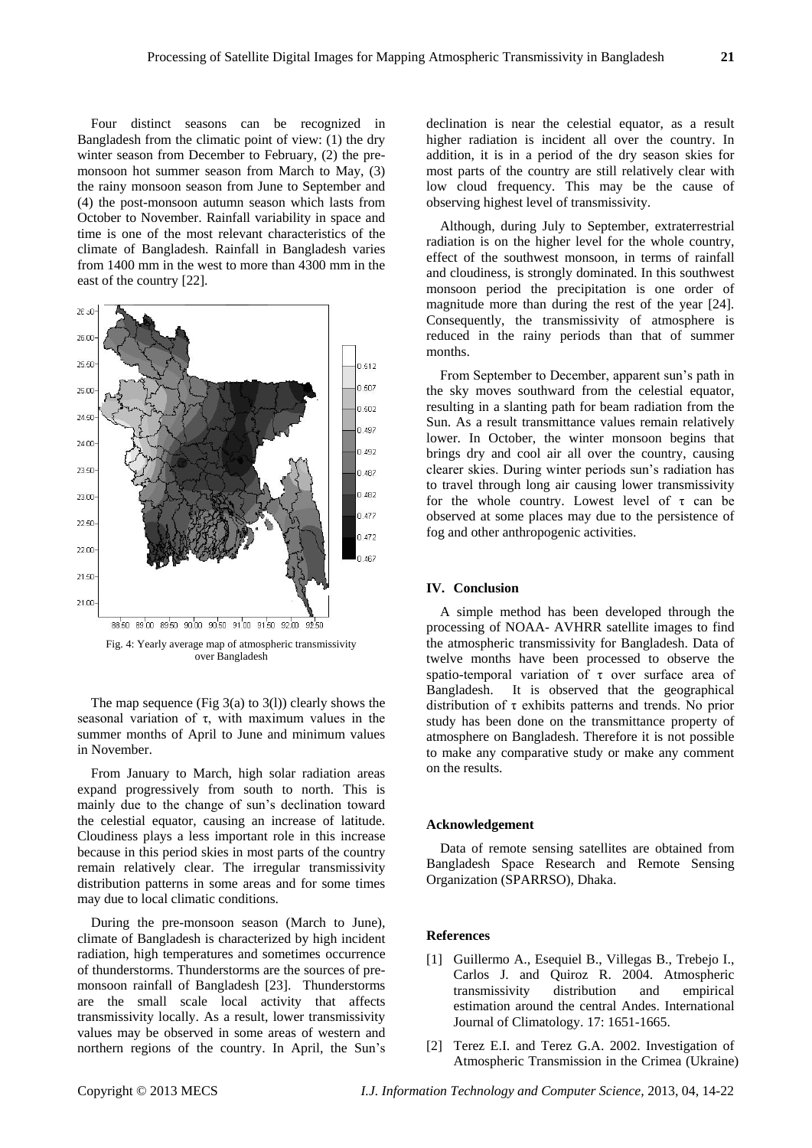Four distinct seasons can be recognized in Bangladesh from the climatic point of view: (1) the dry winter season from December to February, (2) the premonsoon hot summer season from March to May, (3) the rainy monsoon season from June to September and (4) the post-monsoon autumn season which lasts from October to November. Rainfall variability in space and time is one of the most relevant characteristics of the climate of Bangladesh. Rainfall in Bangladesh varies from 1400 mm in the west to more than 4300 mm in the east of the country [22].



Fig. 4: Yearly average map of atmospheric transmissivity over Bangladesh

The map sequence (Fig  $3(a)$  to  $3(1)$ ) clearly shows the seasonal variation of  $\tau$ , with maximum values in the summer months of April to June and minimum values in November.

From January to March, high solar radiation areas expand progressively from south to north. This is mainly due to the change of sun's declination toward the celestial equator, causing an increase of latitude. Cloudiness plays a less important role in this increase because in this period skies in most parts of the country remain relatively clear. The irregular transmissivity distribution patterns in some areas and for some times may due to local climatic conditions.

During the pre-monsoon season (March to June), climate of Bangladesh is characterized by high incident radiation, high temperatures and sometimes occurrence of thunderstorms. Thunderstorms are the sources of premonsoon rainfall of Bangladesh [23]. Thunderstorms are the small scale local activity that affects transmissivity locally. As a result, lower transmissivity values may be observed in some areas of western and northern regions of the country. In April, the Sun's

declination is near the celestial equator, as a result higher radiation is incident all over the country. In addition, it is in a period of the dry season skies for most parts of the country are still relatively clear with low cloud frequency. This may be the cause of observing highest level of transmissivity.

Although, during July to September, extraterrestrial radiation is on the higher level for the whole country, effect of the southwest monsoon, in terms of rainfall and cloudiness, is strongly dominated. In this southwest monsoon period the precipitation is one order of magnitude more than during the rest of the year [24]. Consequently, the transmissivity of atmosphere is reduced in the rainy periods than that of summer months.

From September to December, apparent sun's path in the sky moves southward from the celestial equator, resulting in a slanting path for beam radiation from the Sun. As a result transmittance values remain relatively lower. In October, the winter monsoon begins that brings dry and cool air all over the country, causing clearer skies. During winter periods sun's radiation has to travel through long air causing lower transmissivity for the whole country. Lowest level of  $\tau$  can be observed at some places may due to the persistence of fog and other anthropogenic activities.

## **IV. Conclusion**

A simple method has been developed through the processing of NOAA- AVHRR satellite images to find the atmospheric transmissivity for Bangladesh. Data of twelve months have been processed to observe the spatio-temporal variation of τ over surface area of Bangladesh. It is observed that the geographical distribution of τ exhibits patterns and trends. No prior study has been done on the transmittance property of atmosphere on Bangladesh. Therefore it is not possible to make any comparative study or make any comment on the results.

#### **Acknowledgement**

Data of remote sensing satellites are obtained from Bangladesh Space Research and Remote Sensing Organization (SPARRSO), Dhaka.

#### **References**

- [1] Guillermo A., Esequiel B., Villegas B., Trebejo I., Carlos J. and Quiroz R. 2004. Atmospheric transmissivity distribution and empirical estimation around the central Andes. International Journal of Climatology. 17: 1651-1665.
- [2] Terez E.I. and Terez G.A. 2002. Investigation of Atmospheric Transmission in the Crimea (Ukraine)